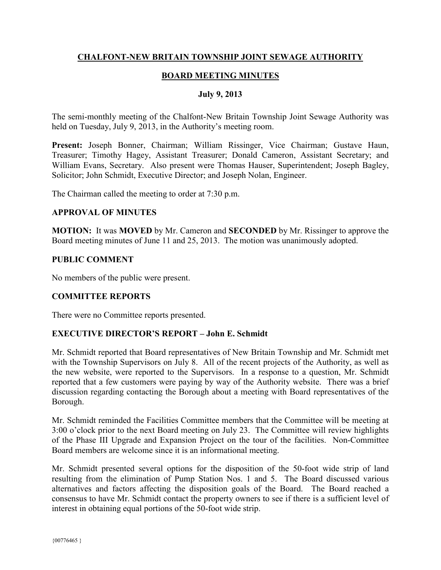# **CHALFONT-NEW BRITAIN TOWNSHIP JOINT SEWAGE AUTHORITY**

# **BOARD MEETING MINUTES**

#### **July 9, 2013**

The semi-monthly meeting of the Chalfont-New Britain Township Joint Sewage Authority was held on Tuesday, July 9, 2013, in the Authority's meeting room.

**Present:** Joseph Bonner, Chairman; William Rissinger, Vice Chairman; Gustave Haun, Treasurer; Timothy Hagey, Assistant Treasurer; Donald Cameron, Assistant Secretary; and William Evans, Secretary. Also present were Thomas Hauser, Superintendent; Joseph Bagley, Solicitor; John Schmidt, Executive Director; and Joseph Nolan, Engineer.

The Chairman called the meeting to order at 7:30 p.m.

#### **APPROVAL OF MINUTES**

**MOTION:** It was **MOVED** by Mr. Cameron and **SECONDED** by Mr. Rissinger to approve the Board meeting minutes of June 11 and 25, 2013. The motion was unanimously adopted.

#### **PUBLIC COMMENT**

No members of the public were present.

### **COMMITTEE REPORTS**

There were no Committee reports presented.

### **EXECUTIVE DIRECTOR'S REPORT – John E. Schmidt**

Mr. Schmidt reported that Board representatives of New Britain Township and Mr. Schmidt met with the Township Supervisors on July 8. All of the recent projects of the Authority, as well as the new website, were reported to the Supervisors. In a response to a question, Mr. Schmidt reported that a few customers were paying by way of the Authority website. There was a brief discussion regarding contacting the Borough about a meeting with Board representatives of the Borough.

Mr. Schmidt reminded the Facilities Committee members that the Committee will be meeting at 3:00 o'clock prior to the next Board meeting on July 23. The Committee will review highlights of the Phase III Upgrade and Expansion Project on the tour of the facilities. Non-Committee Board members are welcome since it is an informational meeting.

Mr. Schmidt presented several options for the disposition of the 50-foot wide strip of land resulting from the elimination of Pump Station Nos. 1 and 5. The Board discussed various alternatives and factors affecting the disposition goals of the Board. The Board reached a consensus to have Mr. Schmidt contact the property owners to see if there is a sufficient level of interest in obtaining equal portions of the 50-foot wide strip.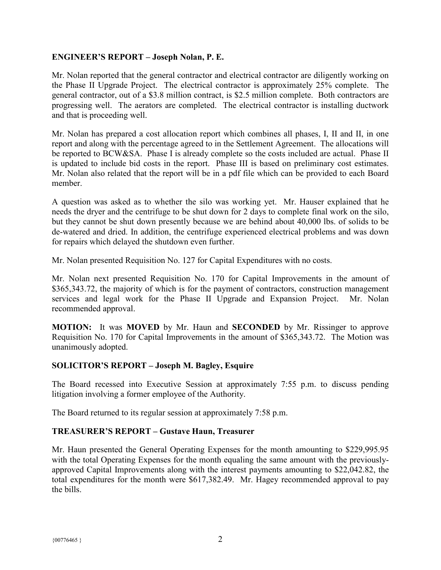## **ENGINEER'S REPORT – Joseph Nolan, P. E.**

Mr. Nolan reported that the general contractor and electrical contractor are diligently working on the Phase II Upgrade Project. The electrical contractor is approximately 25% complete. The general contractor, out of a \$3.8 million contract, is \$2.5 million complete. Both contractors are progressing well. The aerators are completed. The electrical contractor is installing ductwork and that is proceeding well.

Mr. Nolan has prepared a cost allocation report which combines all phases, I, II and II, in one report and along with the percentage agreed to in the Settlement Agreement. The allocations will be reported to BCW&SA. Phase I is already complete so the costs included are actual. Phase II is updated to include bid costs in the report. Phase III is based on preliminary cost estimates. Mr. Nolan also related that the report will be in a pdf file which can be provided to each Board member.

A question was asked as to whether the silo was working yet. Mr. Hauser explained that he needs the dryer and the centrifuge to be shut down for 2 days to complete final work on the silo, but they cannot be shut down presently because we are behind about 40,000 lbs. of solids to be de-watered and dried. In addition, the centrifuge experienced electrical problems and was down for repairs which delayed the shutdown even further.

Mr. Nolan presented Requisition No. 127 for Capital Expenditures with no costs.

Mr. Nolan next presented Requisition No. 170 for Capital Improvements in the amount of \$365,343.72, the majority of which is for the payment of contractors, construction management services and legal work for the Phase II Upgrade and Expansion Project. Mr. Nolan recommended approval.

**MOTION:** It was **MOVED** by Mr. Haun and **SECONDED** by Mr. Rissinger to approve Requisition No. 170 for Capital Improvements in the amount of \$365,343.72. The Motion was unanimously adopted.

# **SOLICITOR'S REPORT – Joseph M. Bagley, Esquire**

The Board recessed into Executive Session at approximately 7:55 p.m. to discuss pending litigation involving a former employee of the Authority.

The Board returned to its regular session at approximately 7:58 p.m.

### **TREASURER'S REPORT – Gustave Haun, Treasurer**

Mr. Haun presented the General Operating Expenses for the month amounting to \$229,995.95 with the total Operating Expenses for the month equaling the same amount with the previouslyapproved Capital Improvements along with the interest payments amounting to \$22,042.82, the total expenditures for the month were \$617,382.49. Mr. Hagey recommended approval to pay the bills.